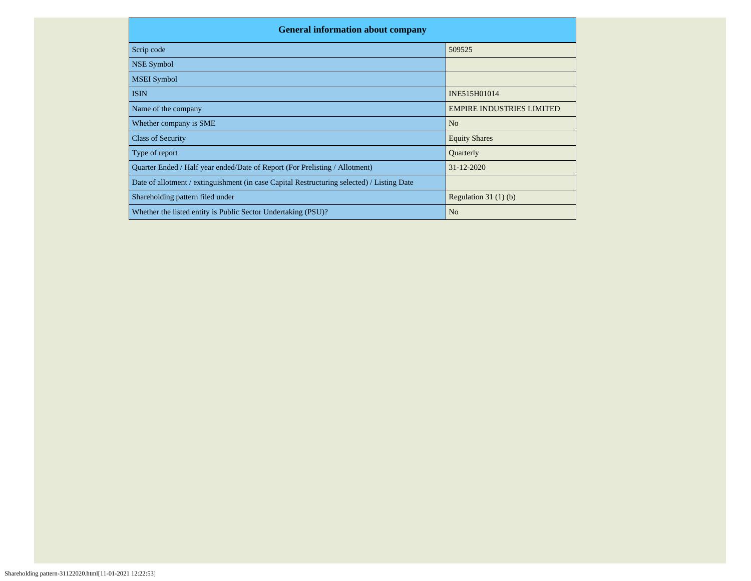| <b>General information about company</b>                                                   |                                  |  |  |  |  |  |  |  |
|--------------------------------------------------------------------------------------------|----------------------------------|--|--|--|--|--|--|--|
| Scrip code                                                                                 | 509525                           |  |  |  |  |  |  |  |
| <b>NSE Symbol</b>                                                                          |                                  |  |  |  |  |  |  |  |
| <b>MSEI</b> Symbol                                                                         |                                  |  |  |  |  |  |  |  |
| <b>ISIN</b>                                                                                | INE515H01014                     |  |  |  |  |  |  |  |
| Name of the company                                                                        | <b>EMPIRE INDUSTRIES LIMITED</b> |  |  |  |  |  |  |  |
| Whether company is SME                                                                     | N <sub>o</sub>                   |  |  |  |  |  |  |  |
| <b>Class of Security</b>                                                                   | <b>Equity Shares</b>             |  |  |  |  |  |  |  |
| Type of report                                                                             | Quarterly                        |  |  |  |  |  |  |  |
| Quarter Ended / Half year ended/Date of Report (For Prelisting / Allotment)                | $31 - 12 - 2020$                 |  |  |  |  |  |  |  |
| Date of allotment / extinguishment (in case Capital Restructuring selected) / Listing Date |                                  |  |  |  |  |  |  |  |
| Shareholding pattern filed under                                                           | Regulation $31(1)(b)$            |  |  |  |  |  |  |  |
| Whether the listed entity is Public Sector Undertaking (PSU)?                              | N <sub>o</sub>                   |  |  |  |  |  |  |  |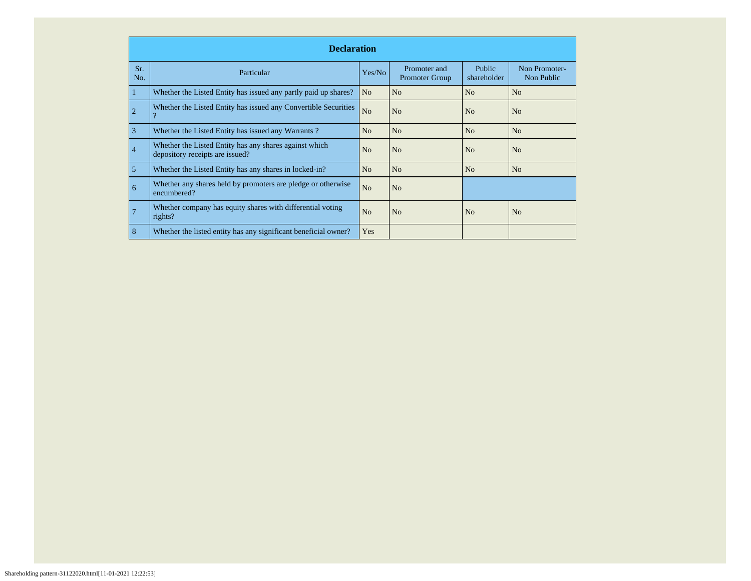|                | <b>Declaration</b>                                                                        |                |                                       |                       |                             |  |  |  |  |  |  |
|----------------|-------------------------------------------------------------------------------------------|----------------|---------------------------------------|-----------------------|-----------------------------|--|--|--|--|--|--|
| Sr.<br>No.     | Particular                                                                                | Yes/No         | Promoter and<br><b>Promoter Group</b> | Public<br>shareholder | Non Promoter-<br>Non Public |  |  |  |  |  |  |
|                | Whether the Listed Entity has issued any partly paid up shares?                           | N <sub>o</sub> | No                                    | N <sub>o</sub>        | N <sub>o</sub>              |  |  |  |  |  |  |
| $\overline{2}$ | Whether the Listed Entity has issued any Convertible Securities<br>$\overline{?}$         | N <sub>o</sub> | No                                    | No                    | N <sub>o</sub>              |  |  |  |  |  |  |
| 3              | Whether the Listed Entity has issued any Warrants?                                        | N <sub>o</sub> | N <sub>o</sub>                        | N <sub>o</sub>        | N <sub>o</sub>              |  |  |  |  |  |  |
| $\overline{4}$ | Whether the Listed Entity has any shares against which<br>depository receipts are issued? | N <sub>o</sub> | N <sub>o</sub>                        | No                    | N <sub>o</sub>              |  |  |  |  |  |  |
| 5              | Whether the Listed Entity has any shares in locked-in?                                    | N <sub>o</sub> | N <sub>o</sub>                        | N <sub>o</sub>        | N <sub>o</sub>              |  |  |  |  |  |  |
| 6              | Whether any shares held by promoters are pledge or otherwise<br>encumbered?               | N <sub>o</sub> | N <sub>o</sub>                        |                       |                             |  |  |  |  |  |  |
|                | Whether company has equity shares with differential voting<br>rights?                     | N <sub>o</sub> | N <sub>o</sub>                        | N <sub>o</sub>        | N <sub>o</sub>              |  |  |  |  |  |  |
| 8              | Whether the listed entity has any significant beneficial owner?                           | Yes            |                                       |                       |                             |  |  |  |  |  |  |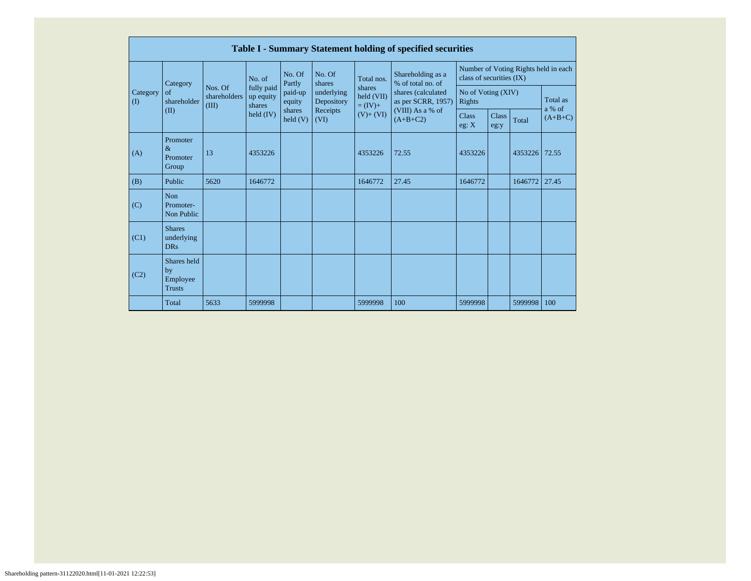|                      | Table I - Summary Statement holding of specified securities |                                  |                                   |                             |                                                                  |                                    |                                                              |                                                                  |                      |          |                     |  |
|----------------------|-------------------------------------------------------------|----------------------------------|-----------------------------------|-----------------------------|------------------------------------------------------------------|------------------------------------|--------------------------------------------------------------|------------------------------------------------------------------|----------------------|----------|---------------------|--|
|                      | Category                                                    |                                  | No. of                            | No. Of<br>Partly            | No. Of<br>shares<br>underlying<br>Depository<br>Receipts<br>(VI) | Total nos.                         | Shareholding as a<br>% of total no. of                       | Number of Voting Rights held in each<br>class of securities (IX) |                      |          |                     |  |
| Category<br>$\rm(D)$ | of<br>shareholder<br>(II)                                   | Nos. Of<br>shareholders<br>(III) | fully paid<br>up equity<br>shares | paid-up<br>equity           |                                                                  | shares<br>held (VII)<br>$= (IV) +$ | shares (calculated<br>as per SCRR, 1957)<br>(VIII) As a % of | No of Voting (XIV)<br>Rights                                     |                      | Total as |                     |  |
|                      |                                                             |                                  | held $(IV)$                       | shares<br>$\text{held}$ (V) |                                                                  | $(V) + (VI)$                       | $(A+B+C2)$                                                   | <b>Class</b><br>eg: X                                            | <b>Class</b><br>eg:y | Total    | a % of<br>$(A+B+C)$ |  |
| (A)                  | Promoter<br>$\&$<br>Promoter<br>Group                       | 13                               | 4353226                           |                             |                                                                  | 4353226                            | 72.55                                                        | 4353226                                                          |                      | 4353226  | 72.55               |  |
| (B)                  | Public                                                      | 5620                             | 1646772                           |                             |                                                                  | 1646772                            | 27.45                                                        | 1646772                                                          |                      | 1646772  | 27.45               |  |
| (C)                  | Non<br>Promoter-<br>Non Public                              |                                  |                                   |                             |                                                                  |                                    |                                                              |                                                                  |                      |          |                     |  |
| (C1)                 | <b>Shares</b><br>underlying<br><b>DRs</b>                   |                                  |                                   |                             |                                                                  |                                    |                                                              |                                                                  |                      |          |                     |  |
| (C2)                 | Shares held<br>by<br>Employee<br><b>Trusts</b>              |                                  |                                   |                             |                                                                  |                                    |                                                              |                                                                  |                      |          |                     |  |
|                      | Total                                                       | 5633                             | 5999998                           |                             |                                                                  | 5999998                            | 100                                                          | 5999998                                                          |                      | 5999998  | 100                 |  |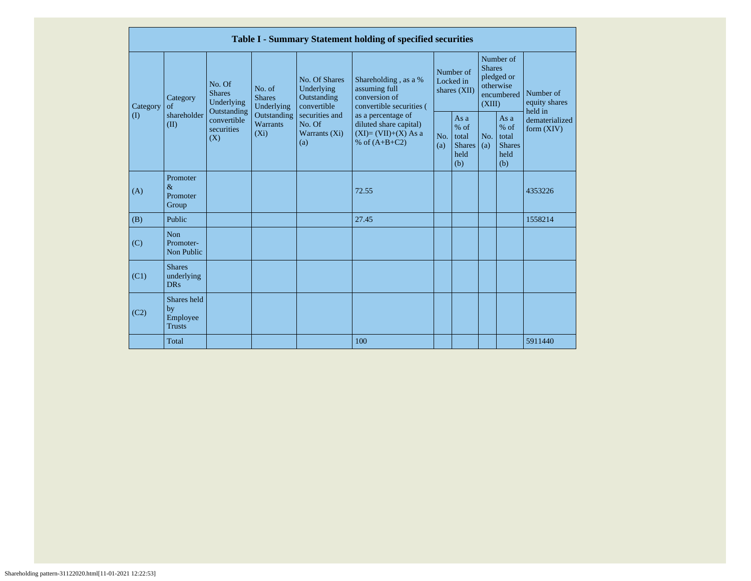|                 |                                                |                                                                                                     |                                       |                                                           | Table I - Summary Statement holding of specified securities                              |            |                                                                                                                         |                                       |                                                         |                                |
|-----------------|------------------------------------------------|-----------------------------------------------------------------------------------------------------|---------------------------------------|-----------------------------------------------------------|------------------------------------------------------------------------------------------|------------|-------------------------------------------------------------------------------------------------------------------------|---------------------------------------|---------------------------------------------------------|--------------------------------|
| Category<br>(1) | Category<br>$\sigma$ f<br>shareholder<br>(II)  | No. Of<br><b>Shares</b><br>Underlying<br>Outstanding<br>convertible<br>securities<br>$(X_i)$<br>(X) | No. of<br><b>Shares</b><br>Underlying | No. Of Shares<br>Underlying<br>Outstanding<br>convertible | Shareholding, as a %<br>assuming full<br>conversion of<br>convertible securities (       |            | Number of<br><b>Shares</b><br>Number of<br>pledged or<br>Locked in<br>otherwise<br>shares (XII)<br>encumbered<br>(XIII) | Number of<br>equity shares<br>held in |                                                         |                                |
|                 |                                                |                                                                                                     | Outstanding<br>Warrants               | securities and<br>No. Of<br>Warrants (Xi)<br>(a)          | as a percentage of<br>diluted share capital)<br>$(XI)=(VII)+(X) As a$<br>% of $(A+B+C2)$ | No.<br>(a) | As a<br>$%$ of<br>total<br><b>Shares</b><br>held<br>(b)                                                                 | No.<br>(a)                            | As a<br>$%$ of<br>total<br><b>Shares</b><br>held<br>(b) | dematerialized<br>form $(XIV)$ |
| (A)             | Promoter<br>$\&$<br>Promoter<br>Group          |                                                                                                     |                                       |                                                           | 72.55                                                                                    |            |                                                                                                                         |                                       |                                                         | 4353226                        |
| (B)             | Public                                         |                                                                                                     |                                       |                                                           | 27.45                                                                                    |            |                                                                                                                         |                                       |                                                         | 1558214                        |
| (C)             | Non<br>Promoter-<br>Non Public                 |                                                                                                     |                                       |                                                           |                                                                                          |            |                                                                                                                         |                                       |                                                         |                                |
| (C1)            | <b>Shares</b><br>underlying<br><b>DRs</b>      |                                                                                                     |                                       |                                                           |                                                                                          |            |                                                                                                                         |                                       |                                                         |                                |
| (C2)            | Shares held<br>by<br>Employee<br><b>Trusts</b> |                                                                                                     |                                       |                                                           |                                                                                          |            |                                                                                                                         |                                       |                                                         |                                |
|                 | Total                                          |                                                                                                     |                                       |                                                           | 100                                                                                      |            |                                                                                                                         |                                       |                                                         | 5911440                        |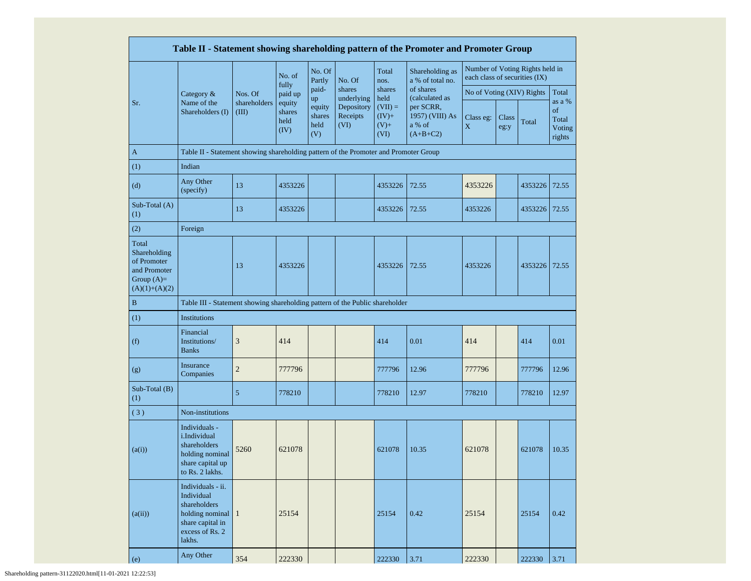|                                                                                         |                                                                                                                               |                       |                                  |                                       |                                              |                                                 | Table II - Statement showing shareholding pattern of the Promoter and Promoter Group |                               |               |                                 |                                           |
|-----------------------------------------------------------------------------------------|-------------------------------------------------------------------------------------------------------------------------------|-----------------------|----------------------------------|---------------------------------------|----------------------------------------------|-------------------------------------------------|--------------------------------------------------------------------------------------|-------------------------------|---------------|---------------------------------|-------------------------------------------|
|                                                                                         |                                                                                                                               |                       | No. of                           | No. Of<br>Partly                      | No. Of                                       | Total<br>nos.                                   | Shareholding as<br>a % of total no.                                                  | each class of securities (IX) |               | Number of Voting Rights held in |                                           |
|                                                                                         | Category &                                                                                                                    | Nos. Of               | fully<br>paid up                 | paid-                                 | shares                                       | shares                                          | of shares                                                                            | No of Voting (XIV) Rights     |               |                                 | Total                                     |
| Sr.                                                                                     | Name of the<br>Shareholders (I)                                                                                               | shareholders<br>(III) | equity<br>shares<br>held<br>(IV) | up<br>equity<br>shares<br>held<br>(V) | underlying<br>Depository<br>Receipts<br>(VI) | held<br>$(VII) =$<br>$(IV)+$<br>$(V)$ +<br>(VI) | (calculated as<br>per SCRR,<br>1957) (VIII) As<br>a % of<br>$(A+B+C2)$               | Class eg:<br>X                | Class<br>eg:y | Total                           | as a %<br>of<br>Total<br>Voting<br>rights |
| $\mathbf{A}$                                                                            | Table II - Statement showing shareholding pattern of the Promoter and Promoter Group                                          |                       |                                  |                                       |                                              |                                                 |                                                                                      |                               |               |                                 |                                           |
| (1)                                                                                     | Indian                                                                                                                        |                       |                                  |                                       |                                              |                                                 |                                                                                      |                               |               |                                 |                                           |
| (d)                                                                                     | Any Other<br>(specify)                                                                                                        | 13                    | 4353226                          |                                       |                                              | 4353226                                         | 72.55                                                                                | 4353226                       |               | 4353226                         | 72.55                                     |
| Sub-Total (A)<br>(1)                                                                    |                                                                                                                               | 13                    | 4353226                          |                                       |                                              | 4353226                                         | 72.55                                                                                | 4353226                       |               | 4353226                         | 72.55                                     |
| (2)                                                                                     | Foreign                                                                                                                       |                       |                                  |                                       |                                              |                                                 |                                                                                      |                               |               |                                 |                                           |
| Total<br>Shareholding<br>of Promoter<br>and Promoter<br>Group $(A)=$<br>$(A)(1)+(A)(2)$ |                                                                                                                               | 13                    | 4353226                          |                                       |                                              | 4353226                                         | 72.55                                                                                | 4353226                       |               | 4353226                         | 72.55                                     |
| $\mathbf B$                                                                             | Table III - Statement showing shareholding pattern of the Public shareholder                                                  |                       |                                  |                                       |                                              |                                                 |                                                                                      |                               |               |                                 |                                           |
| (1)                                                                                     | Institutions                                                                                                                  |                       |                                  |                                       |                                              |                                                 |                                                                                      |                               |               |                                 |                                           |
| (f)                                                                                     | Financial<br>Institutions/<br><b>Banks</b>                                                                                    | 3                     | 414                              |                                       |                                              | 414                                             | 0.01                                                                                 | 414                           |               | 414                             | 0.01                                      |
| (g)                                                                                     | Insurance<br>Companies                                                                                                        | $\overline{2}$        | 777796                           |                                       |                                              | 777796                                          | 12.96                                                                                | 777796                        |               | 777796                          | 12.96                                     |
| Sub-Total (B)<br>(1)                                                                    |                                                                                                                               | 5                     | 778210                           |                                       |                                              | 778210                                          | 12.97                                                                                | 778210                        |               | 778210                          | 12.97                                     |
| (3)                                                                                     | Non-institutions                                                                                                              |                       |                                  |                                       |                                              |                                                 |                                                                                      |                               |               |                                 |                                           |
| (a(i))                                                                                  | Individuals -<br>i.Individual<br>shareholders<br>holding nominal<br>share capital up<br>to Rs. 2 lakhs.                       | 5260                  | 621078                           |                                       |                                              | 621078                                          | 10.35                                                                                | 621078                        |               | 621078                          | 10.35                                     |
| (a(ii))                                                                                 | Individuals - ii.<br>Individual<br>shareholders<br>holding nominal $\vert$ 1<br>share capital in<br>excess of Rs. 2<br>lakhs. |                       | 25154                            |                                       |                                              | 25154                                           | 0.42                                                                                 | 25154                         |               | 25154                           | 0.42                                      |
| (e)                                                                                     | Any Other                                                                                                                     | 354                   | 222330                           |                                       |                                              | 222330                                          | 3.71                                                                                 | 222330                        |               | 222330                          | 3.71                                      |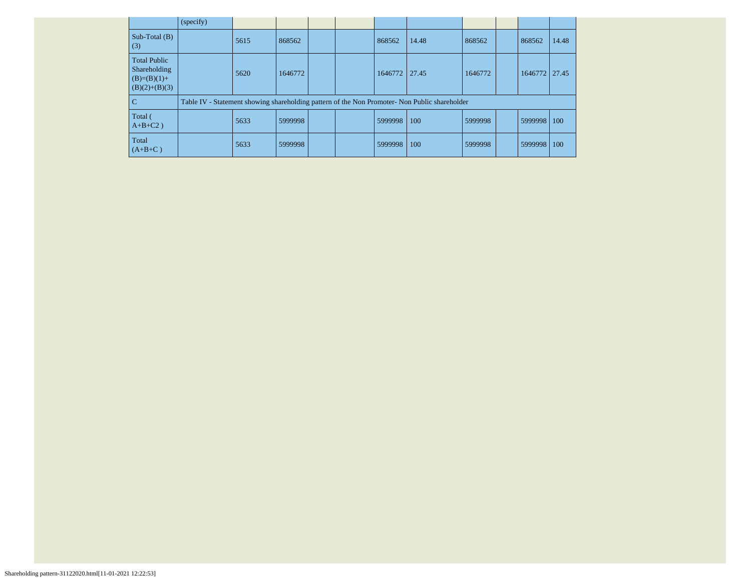|                                                                         | (specify) |      |         |  |         |                                                                                               |         |         |       |
|-------------------------------------------------------------------------|-----------|------|---------|--|---------|-----------------------------------------------------------------------------------------------|---------|---------|-------|
| Sub-Total $(B)$<br>(3)                                                  |           | 5615 | 868562  |  | 868562  | 14.48                                                                                         | 868562  | 868562  | 14.48 |
| <b>Total Public</b><br>Shareholding<br>$(B)=(B)(1)+$<br>$(B)(2)+(B)(3)$ |           | 5620 | 1646772 |  | 1646772 | 27.45                                                                                         | 1646772 | 1646772 | 27.45 |
| $\overline{C}$                                                          |           |      |         |  |         | Table IV - Statement showing shareholding pattern of the Non Promoter- Non Public shareholder |         |         |       |
| Total (<br>$A+B+C2$ )                                                   |           | 5633 | 5999998 |  | 5999998 | 100                                                                                           | 5999998 | 5999998 | 100   |
| Total<br>$(A+B+C)$                                                      |           | 5633 | 5999998 |  | 5999998 | 100                                                                                           | 5999998 | 5999998 | 100   |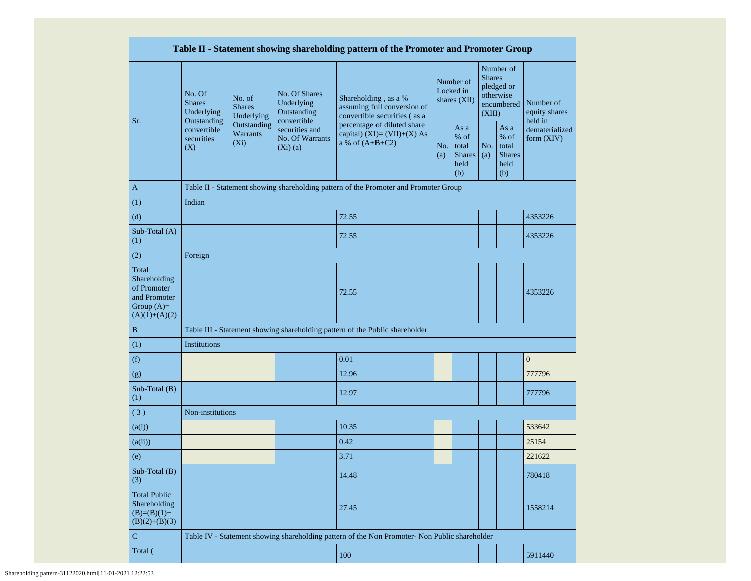|                                                                                         |                                                                        |                                       |                                                                                                                                                  | Table II - Statement showing shareholding pattern of the Promoter and Promoter Group          |                                                                                                             |                                                         |            |                                                       |                                |  |
|-----------------------------------------------------------------------------------------|------------------------------------------------------------------------|---------------------------------------|--------------------------------------------------------------------------------------------------------------------------------------------------|-----------------------------------------------------------------------------------------------|-------------------------------------------------------------------------------------------------------------|---------------------------------------------------------|------------|-------------------------------------------------------|--------------------------------|--|
|                                                                                         | No. Of<br><b>Shares</b><br>Underlying<br>Outstanding                   | No. of<br><b>Shares</b><br>Underlying | No. Of Shares<br>Shareholding, as a %<br>Underlying<br>assuming full conversion of<br>Outstanding<br>convertible securities (as a<br>convertible |                                                                                               | Number of<br><b>Shares</b><br>Number of<br>pledged or<br>Locked in<br>otherwise<br>shares $(XII)$<br>(XIII) |                                                         | encumbered | Number of<br>equity shares<br>held in                 |                                |  |
| Sr.                                                                                     | Outstanding<br>convertible<br>Warrants<br>securities<br>$(X_i)$<br>(X) |                                       | securities and<br>No. Of Warrants<br>$(Xi)$ (a)                                                                                                  | percentage of diluted share<br>capital) (XI)= $(VII)+(X)$ As<br>a % of $(A+B+C2)$<br>(a)      |                                                                                                             | As a<br>$%$ of<br>total<br><b>Shares</b><br>held<br>(b) | No.<br>(a) | As a<br>% of<br>total<br><b>Shares</b><br>held<br>(b) | dematerialized<br>form $(XIV)$ |  |
| $\mathbf{A}$                                                                            |                                                                        |                                       |                                                                                                                                                  | Table II - Statement showing shareholding pattern of the Promoter and Promoter Group          |                                                                                                             |                                                         |            |                                                       |                                |  |
| (1)                                                                                     | Indian                                                                 |                                       |                                                                                                                                                  |                                                                                               |                                                                                                             |                                                         |            |                                                       |                                |  |
| (d)                                                                                     |                                                                        |                                       |                                                                                                                                                  | 72.55                                                                                         |                                                                                                             |                                                         |            |                                                       | 4353226                        |  |
| Sub-Total (A)<br>(1)                                                                    |                                                                        |                                       |                                                                                                                                                  | 72.55                                                                                         |                                                                                                             |                                                         |            |                                                       | 4353226                        |  |
| (2)                                                                                     | Foreign                                                                |                                       |                                                                                                                                                  |                                                                                               |                                                                                                             |                                                         |            |                                                       |                                |  |
| Total<br>Shareholding<br>of Promoter<br>and Promoter<br>Group $(A)=$<br>$(A)(1)+(A)(2)$ | 72.55                                                                  |                                       |                                                                                                                                                  |                                                                                               |                                                                                                             |                                                         |            | 4353226                                               |                                |  |
| B                                                                                       |                                                                        |                                       |                                                                                                                                                  | Table III - Statement showing shareholding pattern of the Public shareholder                  |                                                                                                             |                                                         |            |                                                       |                                |  |
| (1)                                                                                     | Institutions                                                           |                                       |                                                                                                                                                  |                                                                                               |                                                                                                             |                                                         |            |                                                       |                                |  |
| (f)                                                                                     |                                                                        |                                       |                                                                                                                                                  | 0.01                                                                                          |                                                                                                             |                                                         |            |                                                       | $\boldsymbol{0}$               |  |
| (g)                                                                                     |                                                                        |                                       |                                                                                                                                                  | 12.96                                                                                         |                                                                                                             |                                                         |            |                                                       | 777796                         |  |
| Sub-Total (B)<br>(1)                                                                    |                                                                        |                                       |                                                                                                                                                  | 12.97                                                                                         |                                                                                                             |                                                         |            |                                                       | 777796                         |  |
| (3)                                                                                     | Non-institutions                                                       |                                       |                                                                                                                                                  |                                                                                               |                                                                                                             |                                                         |            |                                                       |                                |  |
| (a(i))                                                                                  |                                                                        |                                       |                                                                                                                                                  | 10.35                                                                                         |                                                                                                             |                                                         |            |                                                       | 533642                         |  |
| (a(ii))                                                                                 |                                                                        |                                       |                                                                                                                                                  | 0.42                                                                                          |                                                                                                             |                                                         |            |                                                       | 25154                          |  |
| (e)                                                                                     |                                                                        |                                       |                                                                                                                                                  | 3.71                                                                                          |                                                                                                             |                                                         |            |                                                       | 221622                         |  |
| Sub-Total (B)<br>(3)                                                                    |                                                                        |                                       |                                                                                                                                                  | 14.48                                                                                         |                                                                                                             |                                                         |            |                                                       | 780418                         |  |
| <b>Total Public</b><br>Shareholding<br>$(B)=(B)(1)+$<br>$(B)(2)+(B)(3)$                 | 27.45                                                                  |                                       |                                                                                                                                                  | 1558214                                                                                       |                                                                                                             |                                                         |            |                                                       |                                |  |
| ${\bf C}$                                                                               |                                                                        |                                       |                                                                                                                                                  | Table IV - Statement showing shareholding pattern of the Non Promoter- Non Public shareholder |                                                                                                             |                                                         |            |                                                       |                                |  |
| Total (                                                                                 |                                                                        |                                       |                                                                                                                                                  | 100                                                                                           |                                                                                                             |                                                         |            |                                                       | 5911440                        |  |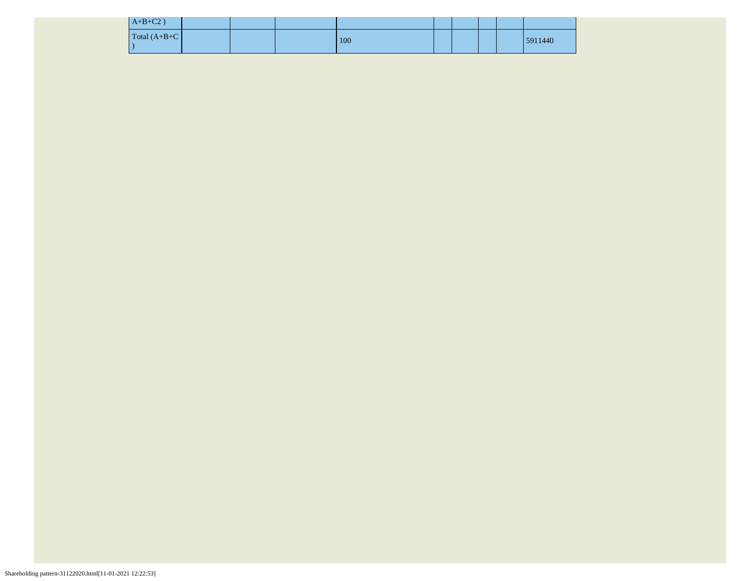| $A+B+C2$ )      |  |     |  |  |         |
|-----------------|--|-----|--|--|---------|
| $Total (A+B+C)$ |  | 100 |  |  | 5911440 |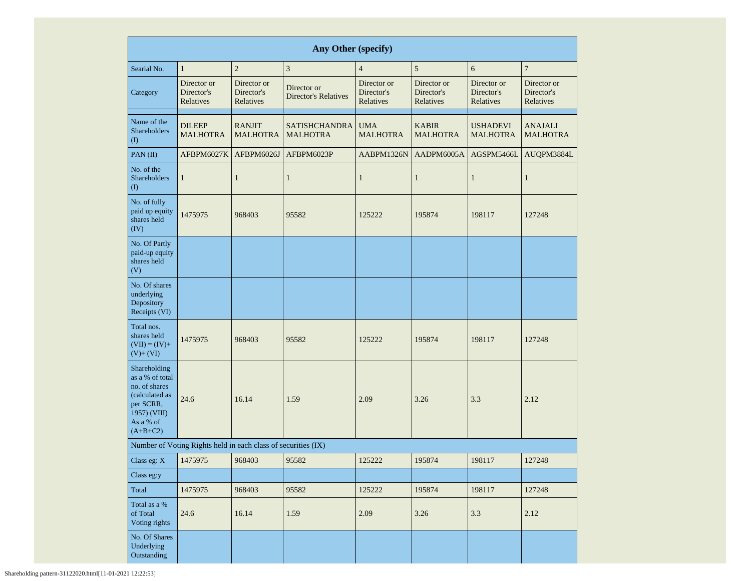|                                                                                                                            |                                                               |                                        | Any Other (specify)                        |                                        |                                        |                                        |                                        |
|----------------------------------------------------------------------------------------------------------------------------|---------------------------------------------------------------|----------------------------------------|--------------------------------------------|----------------------------------------|----------------------------------------|----------------------------------------|----------------------------------------|
| Searial No.                                                                                                                | $\mathbf{1}$                                                  | $\overline{2}$                         | $\mathfrak{Z}$                             | $\overline{4}$                         | $\sqrt{5}$                             | 6                                      | $\overline{7}$                         |
| Category                                                                                                                   | Director or<br>Director's<br>Relatives                        | Director or<br>Director's<br>Relatives | Director or<br><b>Director's Relatives</b> | Director or<br>Director's<br>Relatives | Director or<br>Director's<br>Relatives | Director or<br>Director's<br>Relatives | Director or<br>Director's<br>Relatives |
| Name of the<br><b>Shareholders</b><br>$\rm(I)$                                                                             | <b>DILEEP</b><br><b>MALHOTRA</b>                              | <b>RANJIT</b><br><b>MALHOTRA</b>       | <b>SATISHCHANDRA</b><br><b>MALHOTRA</b>    | <b>UMA</b><br><b>MALHOTRA</b>          | <b>KABIR</b><br><b>MALHOTRA</b>        | <b>USHADEVI</b><br><b>MALHOTRA</b>     | <b>ANAJALI</b><br><b>MALHOTRA</b>      |
| PAN(II)                                                                                                                    | AFBPM6027K                                                    | AFBPM6026J                             | AFBPM6023P                                 | AABPM1326N                             | AADPM6005A                             | AGSPM5466L                             | AUQPM3884L                             |
| No. of the<br><b>Shareholders</b><br>(I)                                                                                   | $\mathbf{1}$                                                  | $\mathbf{1}$                           | $\mathbf{1}$                               | $\mathbf{1}$                           | $\mathbf{1}$                           | $\mathbf{1}$                           | $\mathbf{1}$                           |
| No. of fully<br>paid up equity<br>shares held<br>(IV)                                                                      | 1475975                                                       | 968403                                 | 95582                                      | 125222                                 | 195874                                 | 198117                                 | 127248                                 |
| No. Of Partly<br>paid-up equity<br>shares held<br>(V)                                                                      |                                                               |                                        |                                            |                                        |                                        |                                        |                                        |
| No. Of shares<br>underlying<br>Depository<br>Receipts (VI)                                                                 |                                                               |                                        |                                            |                                        |                                        |                                        |                                        |
| Total nos.<br>shares held<br>$(VII) = (IV) +$<br>$(V)+(VI)$                                                                | 1475975                                                       | 968403                                 | 95582                                      | 125222                                 | 195874                                 | 198117                                 | 127248                                 |
| Shareholding<br>as a % of total<br>no. of shares<br>(calculated as<br>per SCRR,<br>1957) (VIII)<br>As a % of<br>$(A+B+C2)$ | 24.6                                                          | 16.14                                  | 1.59                                       | 2.09                                   | 3.26                                   | 3.3                                    | 2.12                                   |
|                                                                                                                            | Number of Voting Rights held in each class of securities (IX) |                                        |                                            |                                        |                                        |                                        |                                        |
| Class eg: X                                                                                                                | 1475975                                                       | 968403                                 | 95582                                      | 125222                                 | 195874                                 | 198117                                 | 127248                                 |
| Class eg:y                                                                                                                 |                                                               |                                        |                                            |                                        |                                        |                                        |                                        |
| Total                                                                                                                      | 1475975                                                       | 968403                                 | 95582                                      | 125222                                 | 195874                                 | 198117                                 | 127248                                 |
| Total as a %<br>of Total<br>Voting rights                                                                                  | 24.6                                                          | 16.14                                  | 1.59                                       | 2.09                                   | 3.26                                   | 3.3                                    | 2.12                                   |
| No. Of Shares<br>Underlying<br>Outstanding                                                                                 |                                                               |                                        |                                            |                                        |                                        |                                        |                                        |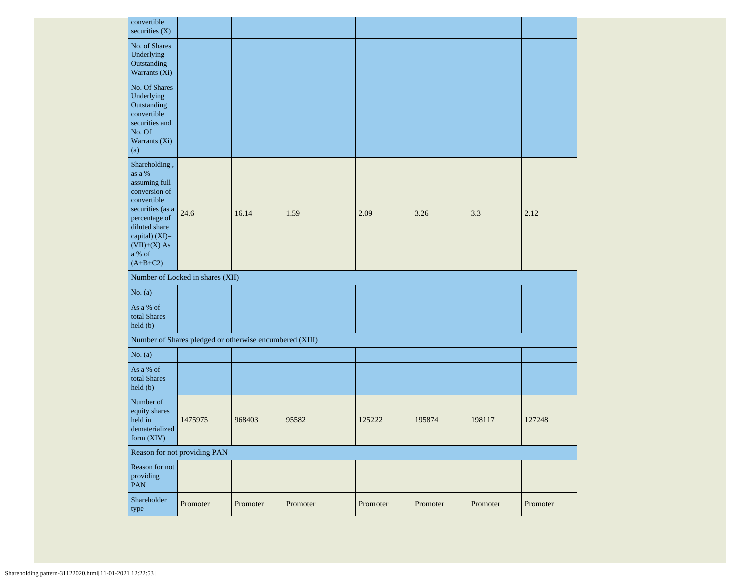| convertible<br>securities $(X)$                                                                                                                                                              |                                                         |        |       |        |        |        |        |
|----------------------------------------------------------------------------------------------------------------------------------------------------------------------------------------------|---------------------------------------------------------|--------|-------|--------|--------|--------|--------|
| No. of Shares<br>Underlying<br>Outstanding<br>Warrants (Xi)                                                                                                                                  |                                                         |        |       |        |        |        |        |
| No. Of Shares<br>Underlying<br>Outstanding<br>convertible<br>securities and<br>No. Of<br>Warrants (Xi)<br>(a)                                                                                |                                                         |        |       |        |        |        |        |
| Shareholding,<br>as a %<br>assuming full<br>conversion of<br>convertible<br>securities (as a<br>percentage of<br>diluted share<br>capital) $(XI)=$<br>$(VII)+(X)$ As<br>a % of<br>$(A+B+C2)$ | 24.6                                                    | 16.14  | 1.59  | 2.09   | 3.26   | 3.3    | 2.12   |
|                                                                                                                                                                                              |                                                         |        |       |        |        |        |        |
|                                                                                                                                                                                              | Number of Locked in shares (XII)                        |        |       |        |        |        |        |
| No. $(a)$                                                                                                                                                                                    |                                                         |        |       |        |        |        |        |
| As a % of<br>total Shares<br>held (b)                                                                                                                                                        |                                                         |        |       |        |        |        |        |
|                                                                                                                                                                                              | Number of Shares pledged or otherwise encumbered (XIII) |        |       |        |        |        |        |
| No. $(a)$                                                                                                                                                                                    |                                                         |        |       |        |        |        |        |
| As a % of<br>total Shares<br>held (b)                                                                                                                                                        |                                                         |        |       |        |        |        |        |
| Number of<br>equity shares<br>held in<br>dematerialized<br>form (XIV)                                                                                                                        | 1475975                                                 | 968403 | 95582 | 125222 | 195874 | 198117 | 127248 |
|                                                                                                                                                                                              | Reason for not providing PAN                            |        |       |        |        |        |        |
| Reason for not<br>providing<br>PAN                                                                                                                                                           |                                                         |        |       |        |        |        |        |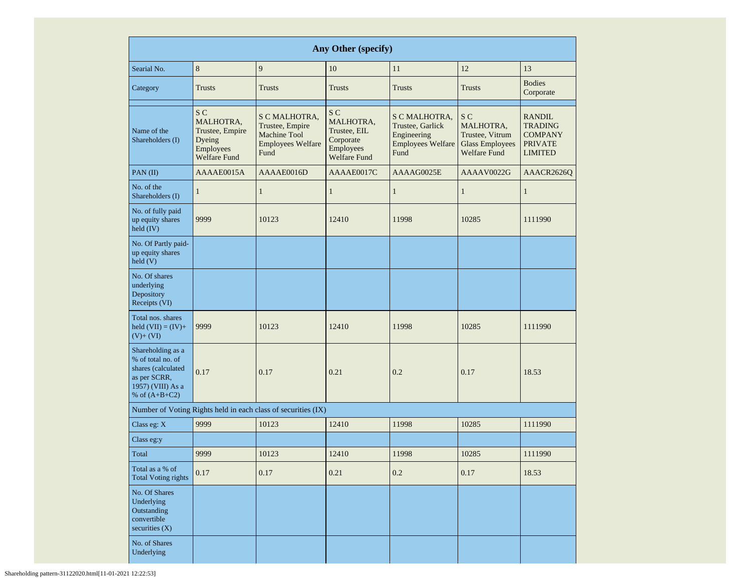| Any Other (specify)                                                                                                  |                                                                                              |                                                                                             |                                                                                   |                                                                                      |                                                                                      |                                                                                       |  |  |  |  |  |
|----------------------------------------------------------------------------------------------------------------------|----------------------------------------------------------------------------------------------|---------------------------------------------------------------------------------------------|-----------------------------------------------------------------------------------|--------------------------------------------------------------------------------------|--------------------------------------------------------------------------------------|---------------------------------------------------------------------------------------|--|--|--|--|--|
| Searial No.                                                                                                          | 8                                                                                            | 9                                                                                           | 10                                                                                | 11                                                                                   | 12                                                                                   | 13                                                                                    |  |  |  |  |  |
| Category                                                                                                             | <b>Trusts</b>                                                                                | <b>Trusts</b>                                                                               | <b>Trusts</b>                                                                     | Trusts                                                                               | <b>Trusts</b>                                                                        | <b>Bodies</b><br>Corporate                                                            |  |  |  |  |  |
| Name of the<br>Shareholders (I)                                                                                      | S <sub>C</sub><br>MALHOTRA,<br>Trustee, Empire<br>Dyeing<br>Employees<br><b>Welfare Fund</b> | S C MALHOTRA,<br>Trustee, Empire<br><b>Machine Tool</b><br><b>Employees Welfare</b><br>Fund | S C<br>MALHOTRA,<br>Trustee, EIL<br>Corporate<br>Employees<br><b>Welfare Fund</b> | S C MALHOTRA,<br>Trustee, Garlick<br>Engineering<br><b>Employees Welfare</b><br>Fund | S C<br>MALHOTRA,<br>Trustee, Vitrum<br><b>Glass Employees</b><br><b>Welfare Fund</b> | <b>RANDIL</b><br><b>TRADING</b><br><b>COMPANY</b><br><b>PRIVATE</b><br><b>LIMITED</b> |  |  |  |  |  |
| $PAN$ (II)                                                                                                           | AAAAE0015A                                                                                   | AAAAE0016D                                                                                  | AAAAE0017C                                                                        | AAAAG0025E                                                                           | AAAAV0022G                                                                           | AAACR2626O                                                                            |  |  |  |  |  |
| No. of the<br>Shareholders (I)                                                                                       | $\mathbf{1}$                                                                                 | $\mathbf{1}$                                                                                | $\mathbf{1}$                                                                      | $\mathbf{1}$                                                                         | $\mathbf{1}$                                                                         | $\mathbf{1}$                                                                          |  |  |  |  |  |
| No. of fully paid<br>up equity shares<br>held $(IV)$                                                                 | 9999                                                                                         | 10123                                                                                       | 12410                                                                             | 11998                                                                                | 10285                                                                                | 1111990                                                                               |  |  |  |  |  |
| No. Of Partly paid-<br>up equity shares<br>held(V)                                                                   |                                                                                              |                                                                                             |                                                                                   |                                                                                      |                                                                                      |                                                                                       |  |  |  |  |  |
| No. Of shares<br>underlying<br>Depository<br>Receipts (VI)                                                           |                                                                                              |                                                                                             |                                                                                   |                                                                                      |                                                                                      |                                                                                       |  |  |  |  |  |
| Total nos. shares<br>held $(VII) = (IV) +$<br>$(V)+(VI)$                                                             | 9999                                                                                         | 10123                                                                                       | 12410                                                                             | 11998                                                                                | 10285                                                                                | 1111990                                                                               |  |  |  |  |  |
| Shareholding as a<br>% of total no. of<br>shares (calculated<br>as per SCRR,<br>1957) (VIII) As a<br>% of $(A+B+C2)$ | 0.17                                                                                         | 0.17                                                                                        | 0.21                                                                              | 0.2                                                                                  | 0.17                                                                                 | 18.53                                                                                 |  |  |  |  |  |
|                                                                                                                      |                                                                                              | Number of Voting Rights held in each class of securities (IX)                               |                                                                                   |                                                                                      |                                                                                      |                                                                                       |  |  |  |  |  |
| Class eg: X                                                                                                          | 9999                                                                                         | 10123                                                                                       | 12410                                                                             | 11998                                                                                | 10285                                                                                | 1111990                                                                               |  |  |  |  |  |
| Class eg:y                                                                                                           |                                                                                              |                                                                                             |                                                                                   |                                                                                      |                                                                                      |                                                                                       |  |  |  |  |  |
| Total                                                                                                                | 9999                                                                                         | 10123                                                                                       | 12410                                                                             | 11998                                                                                | 10285                                                                                | 1111990                                                                               |  |  |  |  |  |
| Total as a % of<br><b>Total Voting rights</b>                                                                        | 0.17                                                                                         | 0.17                                                                                        | 0.21                                                                              | $0.2\,$                                                                              | 0.17                                                                                 | 18.53                                                                                 |  |  |  |  |  |
| No. Of Shares<br>Underlying<br>Outstanding<br>convertible<br>securities $(X)$                                        |                                                                                              |                                                                                             |                                                                                   |                                                                                      |                                                                                      |                                                                                       |  |  |  |  |  |
| No. of Shares<br>Underlying                                                                                          |                                                                                              |                                                                                             |                                                                                   |                                                                                      |                                                                                      |                                                                                       |  |  |  |  |  |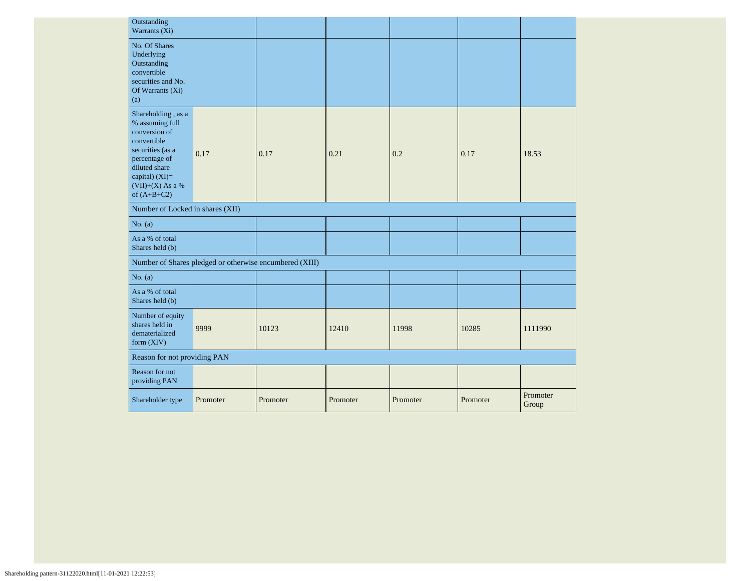| Outstanding<br>Warrants (Xi)                                                                                                                                                         |          |                                                         |          |          |          |                   |
|--------------------------------------------------------------------------------------------------------------------------------------------------------------------------------------|----------|---------------------------------------------------------|----------|----------|----------|-------------------|
| No. Of Shares<br>Underlying<br>Outstanding<br>convertible<br>securities and No.<br>Of Warrants (Xi)<br>(a)                                                                           |          |                                                         |          |          |          |                   |
| Shareholding, as a<br>% assuming full<br>conversion of<br>convertible<br>securities (as a<br>percentage of<br>diluted share<br>capital) $(XI)=$<br>(VII)+(X) As a %<br>of $(A+B+C2)$ | 0.17     | 0.17                                                    | 0.21     | 0.2      | 0.17     | 18.53             |
| Number of Locked in shares (XII)                                                                                                                                                     |          |                                                         |          |          |          |                   |
| No. $(a)$                                                                                                                                                                            |          |                                                         |          |          |          |                   |
| As a % of total<br>Shares held (b)                                                                                                                                                   |          |                                                         |          |          |          |                   |
|                                                                                                                                                                                      |          | Number of Shares pledged or otherwise encumbered (XIII) |          |          |          |                   |
| No. $(a)$                                                                                                                                                                            |          |                                                         |          |          |          |                   |
| As a % of total<br>Shares held (b)                                                                                                                                                   |          |                                                         |          |          |          |                   |
| Number of equity<br>shares held in<br>dematerialized<br>form (XIV)                                                                                                                   | 9999     | 10123                                                   | 12410    | 11998    | 10285    | 1111990           |
| Reason for not providing PAN                                                                                                                                                         |          |                                                         |          |          |          |                   |
| Reason for not<br>providing PAN                                                                                                                                                      |          |                                                         |          |          |          |                   |
| Shareholder type                                                                                                                                                                     | Promoter | Promoter                                                | Promoter | Promoter | Promoter | Promoter<br>Group |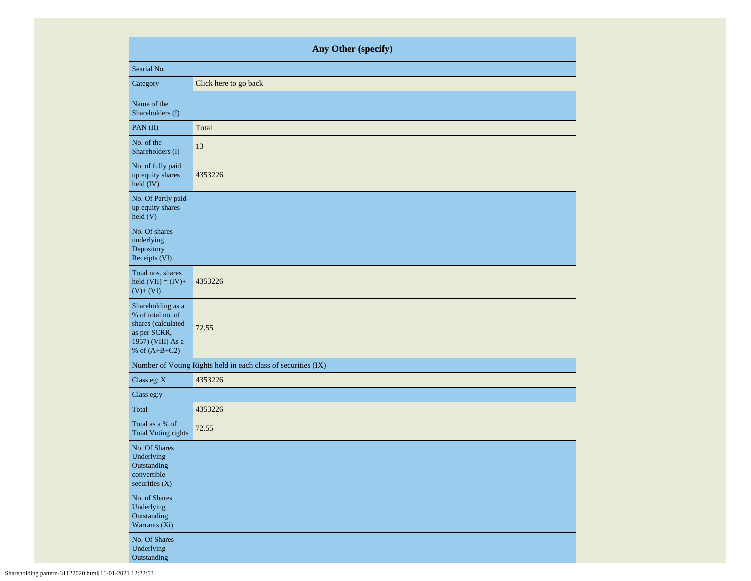| Any Other (specify)                                                                                                  |                                                               |  |  |  |  |  |  |
|----------------------------------------------------------------------------------------------------------------------|---------------------------------------------------------------|--|--|--|--|--|--|
| Searial No.                                                                                                          |                                                               |  |  |  |  |  |  |
| Category                                                                                                             | Click here to go back                                         |  |  |  |  |  |  |
| Name of the<br>Shareholders (I)                                                                                      |                                                               |  |  |  |  |  |  |
| PAN(II)                                                                                                              | Total                                                         |  |  |  |  |  |  |
| No. of the<br>Shareholders (I)                                                                                       | 13                                                            |  |  |  |  |  |  |
| No. of fully paid<br>up equity shares<br>held (IV)                                                                   | 4353226                                                       |  |  |  |  |  |  |
| No. Of Partly paid-<br>up equity shares<br>held (V)                                                                  |                                                               |  |  |  |  |  |  |
| No. Of shares<br>underlying<br>Depository<br>Receipts (VI)                                                           |                                                               |  |  |  |  |  |  |
| Total nos. shares<br>held $(VII) = (IV) +$<br>$(V)+(VI)$                                                             | 4353226                                                       |  |  |  |  |  |  |
| Shareholding as a<br>% of total no. of<br>shares (calculated<br>as per SCRR,<br>1957) (VIII) As a<br>% of $(A+B+C2)$ | 72.55                                                         |  |  |  |  |  |  |
|                                                                                                                      | Number of Voting Rights held in each class of securities (IX) |  |  |  |  |  |  |
| Class eg: X                                                                                                          | 4353226                                                       |  |  |  |  |  |  |
| Class eg:y                                                                                                           |                                                               |  |  |  |  |  |  |
| Total                                                                                                                | 4353226                                                       |  |  |  |  |  |  |
| Total as a % of<br><b>Total Voting rights</b>                                                                        | 72.55                                                         |  |  |  |  |  |  |
| No. Of Shares<br>Underlying<br>Outstanding<br>convertible<br>securities $(X)$                                        |                                                               |  |  |  |  |  |  |
| No. of Shares<br>Underlying<br>Outstanding<br>Warrants $(X_i)$                                                       |                                                               |  |  |  |  |  |  |
| No. Of Shares<br>Underlying<br>Outstanding                                                                           |                                                               |  |  |  |  |  |  |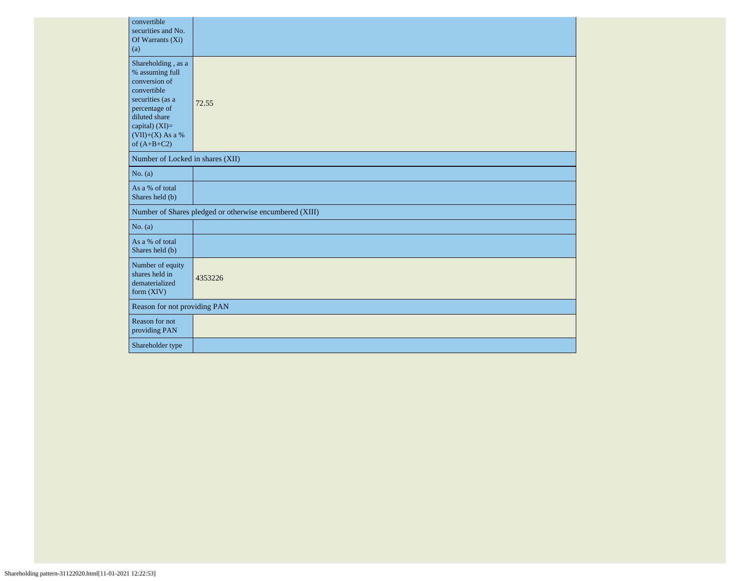| convertible<br>securities and No.<br>Of Warrants (Xi)<br>(a)                                                                                                                           |                                                         |  |  |  |  |  |  |  |
|----------------------------------------------------------------------------------------------------------------------------------------------------------------------------------------|---------------------------------------------------------|--|--|--|--|--|--|--|
| Shareholding, as a<br>% assuming full<br>conversion of<br>convertible<br>securities (as a<br>percentage of<br>diluted share<br>capital) $(XI)=$<br>$(VII)+(X)$ As a %<br>of $(A+B+C2)$ | 72.55                                                   |  |  |  |  |  |  |  |
| Number of Locked in shares (XII)                                                                                                                                                       |                                                         |  |  |  |  |  |  |  |
| No. (a)                                                                                                                                                                                |                                                         |  |  |  |  |  |  |  |
| As a % of total<br>Shares held (b)                                                                                                                                                     |                                                         |  |  |  |  |  |  |  |
|                                                                                                                                                                                        | Number of Shares pledged or otherwise encumbered (XIII) |  |  |  |  |  |  |  |
| No. (a)                                                                                                                                                                                |                                                         |  |  |  |  |  |  |  |
| As a % of total<br>Shares held (b)                                                                                                                                                     |                                                         |  |  |  |  |  |  |  |
| Number of equity<br>shares held in<br>dematerialized<br>form $(XIV)$                                                                                                                   | 4353226                                                 |  |  |  |  |  |  |  |
|                                                                                                                                                                                        | Reason for not providing PAN                            |  |  |  |  |  |  |  |
| Reason for not<br>providing PAN                                                                                                                                                        |                                                         |  |  |  |  |  |  |  |
| Shareholder type                                                                                                                                                                       |                                                         |  |  |  |  |  |  |  |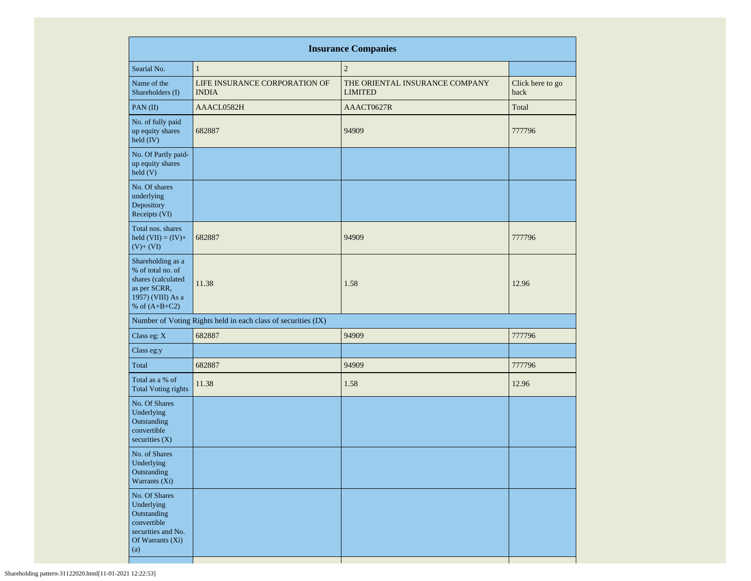| <b>Insurance Companies</b>                                                                                           |                                                               |                                                  |                          |  |  |  |  |  |  |  |  |
|----------------------------------------------------------------------------------------------------------------------|---------------------------------------------------------------|--------------------------------------------------|--------------------------|--|--|--|--|--|--|--|--|
| Searial No.                                                                                                          | $\mathbf{1}$                                                  | $\overline{2}$                                   |                          |  |  |  |  |  |  |  |  |
| Name of the<br>Shareholders (I)                                                                                      | LIFE INSURANCE CORPORATION OF<br><b>INDIA</b>                 | THE ORIENTAL INSURANCE COMPANY<br><b>LIMITED</b> | Click here to go<br>back |  |  |  |  |  |  |  |  |
| PAN(II)                                                                                                              | AAACL0582H                                                    | AAACT0627R                                       | Total                    |  |  |  |  |  |  |  |  |
| No. of fully paid<br>up equity shares<br>held (IV)                                                                   | 682887                                                        | 94909                                            | 777796                   |  |  |  |  |  |  |  |  |
| No. Of Partly paid-<br>up equity shares<br>held(V)                                                                   |                                                               |                                                  |                          |  |  |  |  |  |  |  |  |
| No. Of shares<br>underlying<br>Depository<br>Receipts (VI)                                                           |                                                               |                                                  |                          |  |  |  |  |  |  |  |  |
| Total nos. shares<br>held $(VII) = (IV) +$<br>$(V)+(VI)$                                                             | 682887                                                        | 94909                                            | 777796                   |  |  |  |  |  |  |  |  |
| Shareholding as a<br>% of total no. of<br>shares (calculated<br>as per SCRR,<br>1957) (VIII) As a<br>% of $(A+B+C2)$ | 11.38                                                         | 1.58                                             | 12.96                    |  |  |  |  |  |  |  |  |
|                                                                                                                      | Number of Voting Rights held in each class of securities (IX) |                                                  |                          |  |  |  |  |  |  |  |  |
| Class eg: X                                                                                                          | 682887                                                        | 94909                                            | 777796                   |  |  |  |  |  |  |  |  |
| Class eg:y                                                                                                           |                                                               |                                                  |                          |  |  |  |  |  |  |  |  |
| Total                                                                                                                | 682887                                                        | 94909                                            | 777796                   |  |  |  |  |  |  |  |  |
| Total as a % of<br><b>Total Voting rights</b>                                                                        | 11.38                                                         | 1.58                                             | 12.96                    |  |  |  |  |  |  |  |  |
| No. Of Shares<br>Underlying<br>Outstanding<br>convertible<br>securities $(X)$                                        |                                                               |                                                  |                          |  |  |  |  |  |  |  |  |
| No. of Shares<br>Underlying<br>Outstanding<br>Warrants (Xi)                                                          |                                                               |                                                  |                          |  |  |  |  |  |  |  |  |
| No. Of Shares<br>Underlying<br>Outstanding<br>convertible<br>securities and No.<br>Of Warrants (Xi)<br>(a)           |                                                               |                                                  |                          |  |  |  |  |  |  |  |  |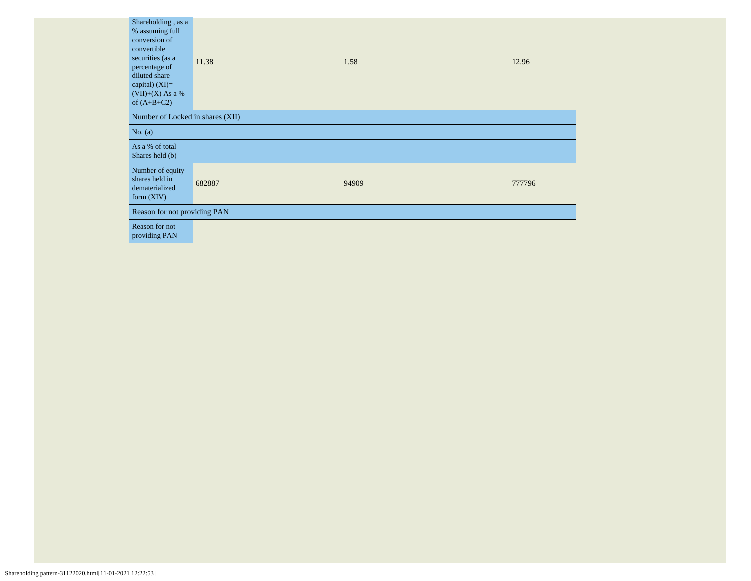| Shareholding, as a<br>% assuming full<br>conversion of<br>convertible<br>securities (as a<br>percentage of<br>diluted share<br>capital) $(XI)=$<br>$(VII)+(X)$ As a %<br>of $(A+B+C2)$ | 11.38  | 1.58  | 12.96  |  |  |  |  |
|----------------------------------------------------------------------------------------------------------------------------------------------------------------------------------------|--------|-------|--------|--|--|--|--|
| Number of Locked in shares (XII)                                                                                                                                                       |        |       |        |  |  |  |  |
| No. $(a)$                                                                                                                                                                              |        |       |        |  |  |  |  |
| As a % of total<br>Shares held (b)                                                                                                                                                     |        |       |        |  |  |  |  |
| Number of equity<br>shares held in<br>dematerialized<br>form $(XIV)$                                                                                                                   | 682887 | 94909 | 777796 |  |  |  |  |
| Reason for not providing PAN                                                                                                                                                           |        |       |        |  |  |  |  |
| Reason for not<br>providing PAN                                                                                                                                                        |        |       |        |  |  |  |  |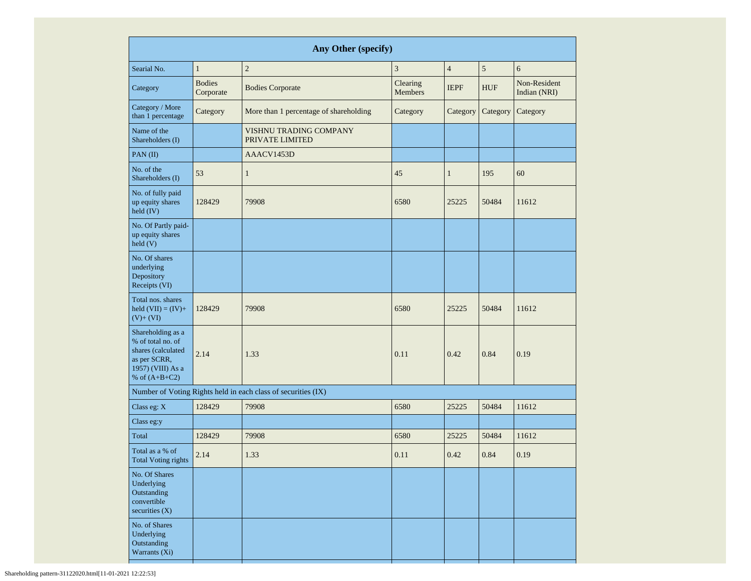| Any Other (specify)                                                                                                  |                            |                                                               |                            |                |            |                              |  |  |  |  |
|----------------------------------------------------------------------------------------------------------------------|----------------------------|---------------------------------------------------------------|----------------------------|----------------|------------|------------------------------|--|--|--|--|
| Searial No.                                                                                                          | $\mathbf{1}$               | $\overline{c}$                                                | 3                          | $\overline{4}$ | 5          | 6                            |  |  |  |  |
| Category                                                                                                             | <b>Bodies</b><br>Corporate | <b>Bodies Corporate</b>                                       | Clearing<br><b>Members</b> | <b>IEPF</b>    | <b>HUF</b> | Non-Resident<br>Indian (NRI) |  |  |  |  |
| Category / More<br>than 1 percentage                                                                                 | Category                   | More than 1 percentage of shareholding                        | Category                   | Category       | Category   | Category                     |  |  |  |  |
| Name of the<br>Shareholders (I)                                                                                      |                            | <b>VISHNU TRADING COMPANY</b><br>PRIVATE LIMITED              |                            |                |            |                              |  |  |  |  |
| PAN(II)                                                                                                              |                            | AAACV1453D                                                    |                            |                |            |                              |  |  |  |  |
| No. of the<br>Shareholders (I)                                                                                       | 53                         | $\mathbf{1}$                                                  | 45                         | $\mathbf{1}$   | 195        | 60                           |  |  |  |  |
| No. of fully paid<br>up equity shares<br>$held$ (IV)                                                                 | 128429                     | 79908                                                         | 6580                       | 25225          | 50484      | 11612                        |  |  |  |  |
| No. Of Partly paid-<br>up equity shares<br>held(V)                                                                   |                            |                                                               |                            |                |            |                              |  |  |  |  |
| No. Of shares<br>underlying<br>Depository<br>Receipts (VI)                                                           |                            |                                                               |                            |                |            |                              |  |  |  |  |
| Total nos. shares<br>held $(VII) = (IV) +$<br>$(V)+(VI)$                                                             | 128429                     | 79908                                                         | 6580                       | 25225          | 50484      | 11612                        |  |  |  |  |
| Shareholding as a<br>% of total no. of<br>shares (calculated<br>as per SCRR,<br>1957) (VIII) As a<br>% of $(A+B+C2)$ | 2.14                       | 1.33                                                          | 0.11                       | 0.42           | 0.84       | 0.19                         |  |  |  |  |
|                                                                                                                      |                            | Number of Voting Rights held in each class of securities (IX) |                            |                |            |                              |  |  |  |  |
| Class eg: X                                                                                                          | 128429                     | 79908                                                         | 6580                       | 25225          | 50484      | 11612                        |  |  |  |  |
| Class eg:y                                                                                                           |                            |                                                               |                            |                |            |                              |  |  |  |  |
| Total                                                                                                                | 128429                     | 79908                                                         | 6580                       | 25225          | 50484      | 11612                        |  |  |  |  |
| Total as a % of<br>2.14<br><b>Total Voting rights</b>                                                                |                            | 1.33                                                          | 0.11                       | 0.42           | 0.84       | 0.19                         |  |  |  |  |
| No. Of Shares<br>Underlying<br>Outstanding<br>convertible<br>securities $(X)$                                        |                            |                                                               |                            |                |            |                              |  |  |  |  |
| No. of Shares<br>Underlying<br>Outstanding<br>Warrants (Xi)                                                          |                            |                                                               |                            |                |            |                              |  |  |  |  |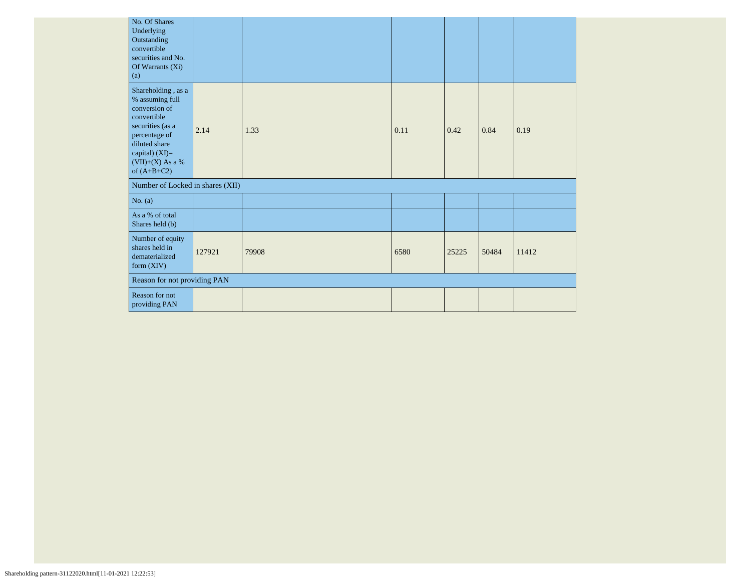| No. Of Shares<br>Underlying<br>Outstanding<br>convertible<br>securities and No.<br>Of Warrants (Xi)<br>(a)                                                                           |        |       |      |       |       |       |
|--------------------------------------------------------------------------------------------------------------------------------------------------------------------------------------|--------|-------|------|-------|-------|-------|
| Shareholding, as a<br>% assuming full<br>conversion of<br>convertible<br>securities (as a<br>percentage of<br>diluted share<br>capital) $(XI)=$<br>(VII)+(X) As a %<br>of $(A+B+C2)$ | 2.14   | 1.33  | 0.11 | 0.42  | 0.84  | 0.19  |
| Number of Locked in shares (XII)                                                                                                                                                     |        |       |      |       |       |       |
| No. $(a)$                                                                                                                                                                            |        |       |      |       |       |       |
| As a % of total<br>Shares held (b)                                                                                                                                                   |        |       |      |       |       |       |
| Number of equity<br>shares held in<br>dematerialized<br>form $(XIV)$                                                                                                                 | 127921 | 79908 | 6580 | 25225 | 50484 | 11412 |
| Reason for not providing PAN                                                                                                                                                         |        |       |      |       |       |       |
| <b>Reason for not</b><br>providing PAN                                                                                                                                               |        |       |      |       |       |       |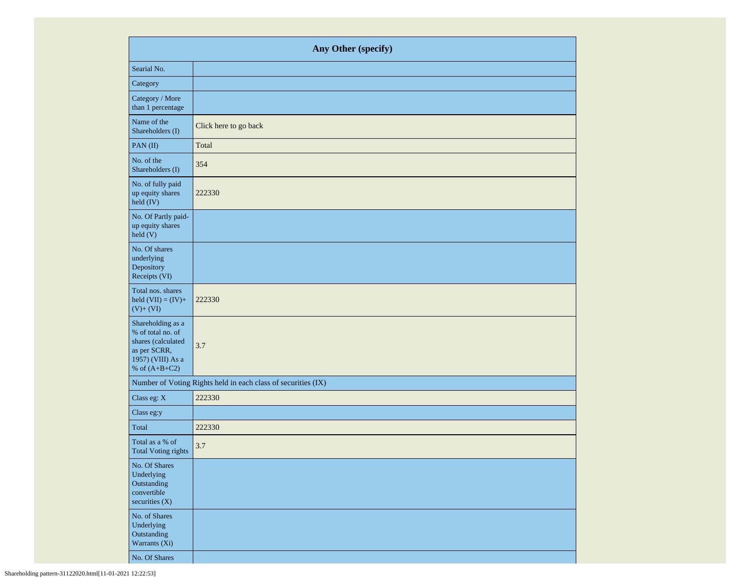|                                                                                                                      | Any Other (specify)                                           |  |  |  |  |  |  |  |  |
|----------------------------------------------------------------------------------------------------------------------|---------------------------------------------------------------|--|--|--|--|--|--|--|--|
| Searial No.                                                                                                          |                                                               |  |  |  |  |  |  |  |  |
| Category                                                                                                             |                                                               |  |  |  |  |  |  |  |  |
| Category / More<br>than 1 percentage                                                                                 |                                                               |  |  |  |  |  |  |  |  |
| Name of the<br>Shareholders (I)                                                                                      | Click here to go back                                         |  |  |  |  |  |  |  |  |
| PAN(II)                                                                                                              | Total                                                         |  |  |  |  |  |  |  |  |
| No. of the<br>Shareholders (I)                                                                                       | 354                                                           |  |  |  |  |  |  |  |  |
| No. of fully paid<br>up equity shares<br>held (IV)                                                                   | 222330                                                        |  |  |  |  |  |  |  |  |
| No. Of Partly paid-<br>up equity shares<br>held(V)                                                                   |                                                               |  |  |  |  |  |  |  |  |
| No. Of shares<br>underlying<br>Depository<br>Receipts (VI)                                                           |                                                               |  |  |  |  |  |  |  |  |
| Total nos. shares<br>held $(VII) = (IV) +$<br>$(V)+(VI)$                                                             | 222330                                                        |  |  |  |  |  |  |  |  |
| Shareholding as a<br>% of total no. of<br>shares (calculated<br>as per SCRR,<br>1957) (VIII) As a<br>% of $(A+B+C2)$ | 3.7                                                           |  |  |  |  |  |  |  |  |
|                                                                                                                      | Number of Voting Rights held in each class of securities (IX) |  |  |  |  |  |  |  |  |
| Class eg: X                                                                                                          | 222330                                                        |  |  |  |  |  |  |  |  |
| Class eg:y                                                                                                           |                                                               |  |  |  |  |  |  |  |  |
| Total                                                                                                                | 222330                                                        |  |  |  |  |  |  |  |  |
| Total as a % of<br><b>Total Voting rights</b>                                                                        | 3.7                                                           |  |  |  |  |  |  |  |  |
| No. Of Shares<br>Underlying<br>Outstanding<br>convertible<br>securities $(X)$                                        |                                                               |  |  |  |  |  |  |  |  |
| No. of Shares<br>Underlying<br>Outstanding<br>Warrants (Xi)                                                          |                                                               |  |  |  |  |  |  |  |  |
| No. Of Shares                                                                                                        |                                                               |  |  |  |  |  |  |  |  |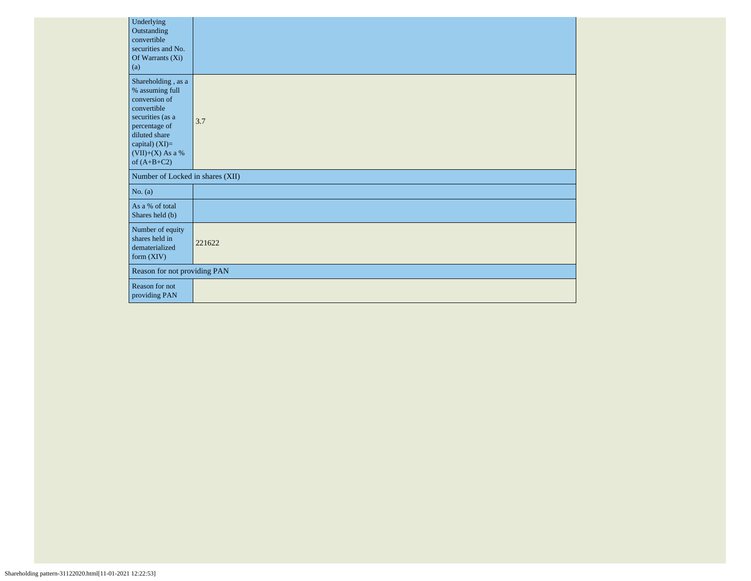| Underlying<br>Outstanding<br>convertible<br>securities and No.<br>Of Warrants (Xi)<br>(a)                                                                                            |        |
|--------------------------------------------------------------------------------------------------------------------------------------------------------------------------------------|--------|
| Shareholding, as a<br>% assuming full<br>conversion of<br>convertible<br>securities (as a<br>percentage of<br>diluted share<br>capital) (XI)=<br>$(VII)+(X)$ As a %<br>of $(A+B+C2)$ | 3.7    |
| Number of Locked in shares (XII)                                                                                                                                                     |        |
| No. $(a)$                                                                                                                                                                            |        |
| As a % of total<br>Shares held (b)                                                                                                                                                   |        |
| Number of equity<br>shares held in<br>dematerialized<br>form $(XIV)$                                                                                                                 | 221622 |
| Reason for not providing PAN                                                                                                                                                         |        |
| Reason for not<br>providing PAN                                                                                                                                                      |        |